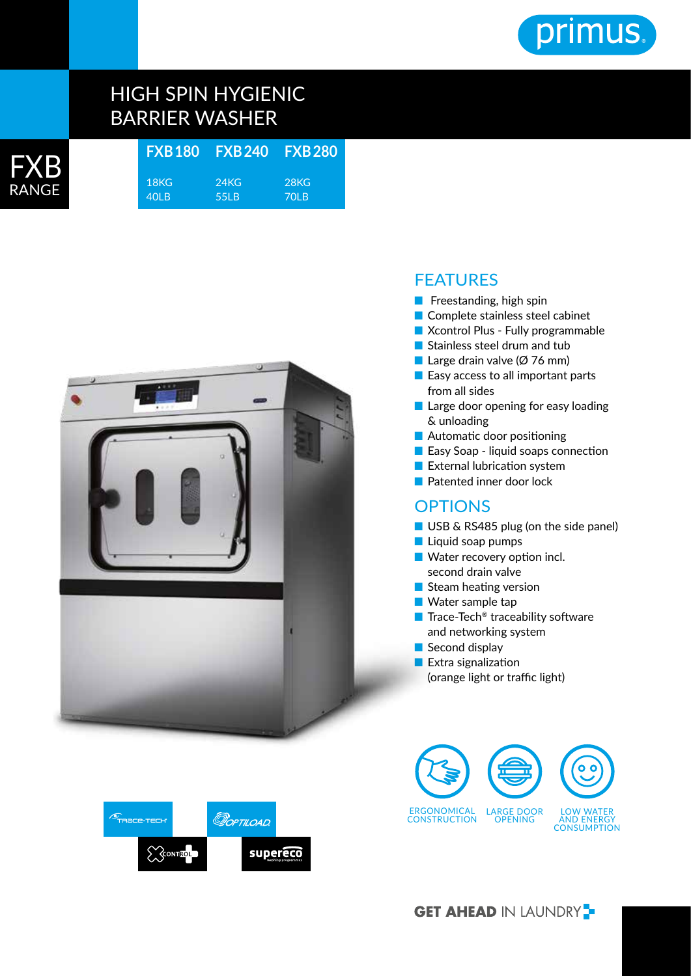

# HIGH SPIN HYGIENIC BARRIER WASHER

| <b>FXB</b> | FXB180 FXB240 FXB280 |      |      |
|------------|----------------------|------|------|
|            | 18KG                 | 24KG | 28KG |
| RANGE      | 40 B                 | 55LB | 70 B |
|            |                      |      |      |



## FEATURES

- Freestanding, high spin
- Complete stainless steel cabinet
- Xcontrol Plus Fully programmable
- Stainless steel drum and tub
- Large drain valve (Ø 76 mm)
- Easy access to all important parts from all sides
- Large door opening for easy loading & unloading
- Automatic door positioning
- Easy Soap liquid soaps connection
- External lubrication system
- Patented inner door lock

### **OPTIONS**

- USB & RS485 plug (on the side panel)
- Liquid soap pumps
- Water recovery option incl. second drain valve
- Steam heating version
- Water sample tap
- Trace-Tech<sup>®</sup> traceability software and networking system
- Second display
- Extra signalization (orange light or traffic light)